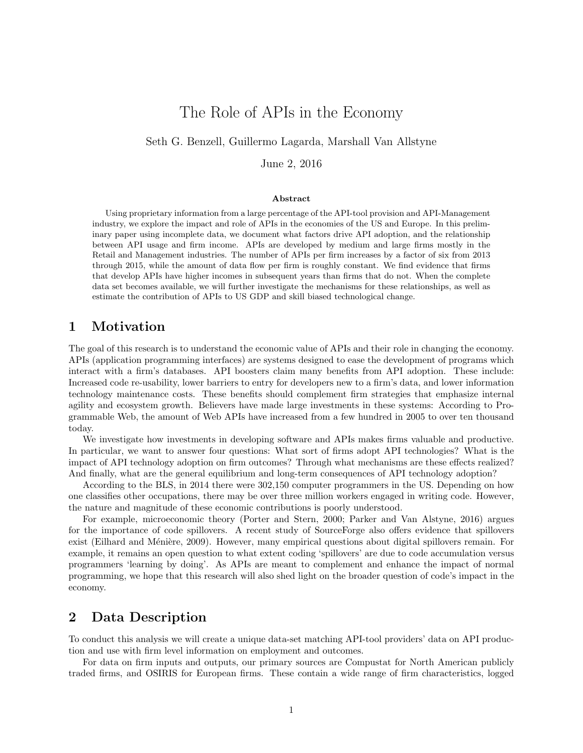# The Role of APIs in the Economy

Seth G. Benzell, Guillermo Lagarda, Marshall Van Allstyne

June 2, 2016

#### Abstract

Using proprietary information from a large percentage of the API-tool provision and API-Management industry, we explore the impact and role of APIs in the economies of the US and Europe. In this preliminary paper using incomplete data, we document what factors drive API adoption, and the relationship between API usage and firm income. APIs are developed by medium and large firms mostly in the Retail and Management industries. The number of APIs per firm increases by a factor of six from 2013 through 2015, while the amount of data flow per firm is roughly constant. We find evidence that firms that develop APIs have higher incomes in subsequent years than firms that do not. When the complete data set becomes available, we will further investigate the mechanisms for these relationships, as well as estimate the contribution of APIs to US GDP and skill biased technological change.

#### 1 Motivation

The goal of this research is to understand the economic value of APIs and their role in changing the economy. APIs (application programming interfaces) are systems designed to ease the development of programs which interact with a firm's databases. API boosters claim many benefits from API adoption. These include: Increased code re-usability, lower barriers to entry for developers new to a firm's data, and lower information technology maintenance costs. These benefits should complement firm strategies that emphasize internal agility and ecosystem growth. Believers have made large investments in these systems: According to Programmable Web, the amount of Web APIs have increased from a few hundred in 2005 to over ten thousand today.

We investigate how investments in developing software and APIs makes firms valuable and productive. In particular, we want to answer four questions: What sort of firms adopt API technologies? What is the impact of API technology adoption on firm outcomes? Through what mechanisms are these effects realized? And finally, what are the general equilibrium and long-term consequences of API technology adoption?

According to the BLS, in 2014 there were 302,150 computer programmers in the US. Depending on how one classifies other occupations, there may be over three million workers engaged in writing code. However, the nature and magnitude of these economic contributions is poorly understood.

For example, microeconomic theory (Porter and Stern, 2000; Parker and Van Alstyne, 2016) argues for the importance of code spillovers. A recent study of SourceForge also offers evidence that spillovers exist (Eilhard and Ménière, 2009). However, many empirical questions about digital spillovers remain. For example, it remains an open question to what extent coding 'spillovers' are due to code accumulation versus programmers 'learning by doing'. As APIs are meant to complement and enhance the impact of normal programming, we hope that this research will also shed light on the broader question of code's impact in the economy.

#### 2 Data Description

To conduct this analysis we will create a unique data-set matching API-tool providers' data on API production and use with firm level information on employment and outcomes.

For data on firm inputs and outputs, our primary sources are Compustat for North American publicly traded firms, and OSIRIS for European firms. These contain a wide range of firm characteristics, logged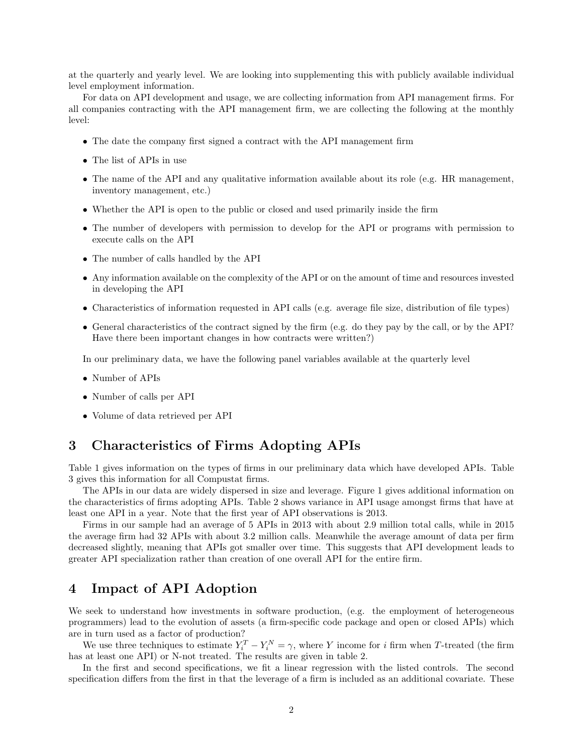at the quarterly and yearly level. We are looking into supplementing this with publicly available individual level employment information.

For data on API development and usage, we are collecting information from API management firms. For all companies contracting with the API management firm, we are collecting the following at the monthly level:

- The date the company first signed a contract with the API management firm
- The list of APIs in use
- The name of the API and any qualitative information available about its role (e.g. HR management, inventory management, etc.)
- Whether the API is open to the public or closed and used primarily inside the firm
- The number of developers with permission to develop for the API or programs with permission to execute calls on the API
- The number of calls handled by the API
- Any information available on the complexity of the API or on the amount of time and resources invested in developing the API
- Characteristics of information requested in API calls (e.g. average file size, distribution of file types)
- General characteristics of the contract signed by the firm (e.g. do they pay by the call, or by the API? Have there been important changes in how contracts were written?)

In our preliminary data, we have the following panel variables available at the quarterly level

- Number of APIs
- Number of calls per API
- Volume of data retrieved per API

### 3 Characteristics of Firms Adopting APIs

Table 1 gives information on the types of firms in our preliminary data which have developed APIs. Table 3 gives this information for all Compustat firms.

The APIs in our data are widely dispersed in size and leverage. Figure 1 gives additional information on the characteristics of firms adopting APIs. Table 2 shows variance in API usage amongst firms that have at least one API in a year. Note that the first year of API observations is 2013.

Firms in our sample had an average of 5 APIs in 2013 with about 2.9 million total calls, while in 2015 the average firm had 32 APIs with about 3.2 million calls. Meanwhile the average amount of data per firm decreased slightly, meaning that APIs got smaller over time. This suggests that API development leads to greater API specialization rather than creation of one overall API for the entire firm.

### 4 Impact of API Adoption

We seek to understand how investments in software production, (e.g. the employment of heterogeneous programmers) lead to the evolution of assets (a firm-specific code package and open or closed APIs) which are in turn used as a factor of production?

We use three techniques to estimate  $Y_i^T - Y_i^N = \gamma$ , where Y income for i firm when T-treated (the firm has at least one API) or N-not treated. The results are given in table 2.

In the first and second specifications, we fit a linear regression with the listed controls. The second specification differs from the first in that the leverage of a firm is included as an additional covariate. These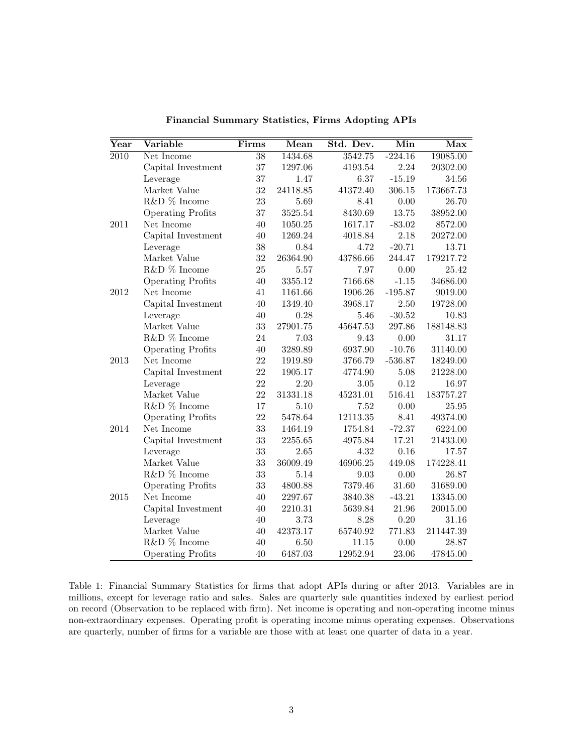| $\operatorname{Year}$ | Variable                 | Firms           | Mean     | Std. Dev. | Min       | Max       |
|-----------------------|--------------------------|-----------------|----------|-----------|-----------|-----------|
| 2010                  | Net Income               | $\overline{38}$ | 1434.68  | 3542.75   | $-224.16$ | 19085.00  |
|                       | Capital Investment       | 37              | 1297.06  | 4193.54   | 2.24      | 20302.00  |
|                       | Leverage                 | 37              | 1.47     | 6.37      | $-15.19$  | 34.56     |
|                       | Market Value             | 32              | 24118.85 | 41372.40  | 306.15    | 173667.73 |
|                       | R&D $\%$ Income          | 23              | 5.69     | 8.41      | 0.00      | 26.70     |
|                       | <b>Operating Profits</b> | 37              | 3525.54  | 8430.69   | 13.75     | 38952.00  |
| 2011                  | Net Income               | 40              | 1050.25  | 1617.17   | $-83.02$  | 8572.00   |
|                       | Capital Investment       | 40              | 1269.24  | 4018.84   | 2.18      | 20272.00  |
|                       | Leverage                 | 38              | 0.84     | 4.72      | $-20.71$  | 13.71     |
|                       | Market Value             | 32              | 26364.90 | 43786.66  | 244.47    | 179217.72 |
|                       | R&D % Income             | 25              | 5.57     | 7.97      | 0.00      | 25.42     |
|                       | <b>Operating Profits</b> | 40              | 3355.12  | 7166.68   | $-1.15$   | 34686.00  |
| 2012                  | Net Income               | 41              | 1161.66  | 1906.26   | $-195.87$ | 9019.00   |
|                       | Capital Investment       | 40              | 1349.40  | 3968.17   | 2.50      | 19728.00  |
|                       | Leverage                 | 40              | 0.28     | 5.46      | $-30.52$  | 10.83     |
|                       | Market Value             | 33              | 27901.75 | 45647.53  | 297.86    | 188148.83 |
|                       | R&D % Income             | 24              | 7.03     | 9.43      | 0.00      | 31.17     |
|                       | <b>Operating Profits</b> | 40              | 3289.89  | 6937.90   | $-10.76$  | 31140.00  |
| 2013                  | Net Income               | 22              | 1919.89  | 3766.79   | $-536.87$ | 18249.00  |
|                       | Capital Investment       | 22              | 1905.17  | 4774.90   | 5.08      | 21228.00  |
|                       | Leverage                 | 22              | 2.20     | 3.05      | 0.12      | 16.97     |
|                       | Market Value             | 22              | 31331.18 | 45231.01  | 516.41    | 183757.27 |
|                       | R&D % Income             | 17              | 5.10     | 7.52      | 0.00      | 25.95     |
|                       | <b>Operating Profits</b> | 22              | 5478.64  | 12113.35  | 8.41      | 49374.00  |
| 2014                  | Net Income               | 33              | 1464.19  | 1754.84   | $-72.37$  | 6224.00   |
|                       | Capital Investment       | 33              | 2255.65  | 4975.84   | 17.21     | 21433.00  |
|                       | Leverage                 | 33              | 2.65     | 4.32      | 0.16      | 17.57     |
|                       | Market Value             | 33              | 36009.49 | 46906.25  | 449.08    | 174228.41 |
|                       | R&D % Income             | 33              | 5.14     | 9.03      | 0.00      | 26.87     |
|                       | <b>Operating Profits</b> | 33              | 4800.88  | 7379.46   | 31.60     | 31689.00  |
| 2015                  | Net Income               | 40              | 2297.67  | 3840.38   | $-43.21$  | 13345.00  |
|                       | Capital Investment       | 40              | 2210.31  | 5639.84   | 21.96     | 20015.00  |
|                       | Leverage                 | 40              | 3.73     | 8.28      | 0.20      | 31.16     |
|                       | Market Value             | 40              | 42373.17 | 65740.92  | 771.83    | 211447.39 |
|                       | R&D % Income             | 40              | 6.50     | 11.15     | 0.00      | 28.87     |
|                       | <b>Operating Profits</b> | 40              | 6487.03  | 12952.94  | 23.06     | 47845.00  |

Financial Summary Statistics, Firms Adopting APIs

Table 1: Financial Summary Statistics for firms that adopt APIs during or after 2013. Variables are in millions, except for leverage ratio and sales. Sales are quarterly sale quantities indexed by earliest period on record (Observation to be replaced with firm). Net income is operating and non-operating income minus non-extraordinary expenses. Operating profit is operating income minus operating expenses. Observations are quarterly, number of firms for a variable are those with at least one quarter of data in a year.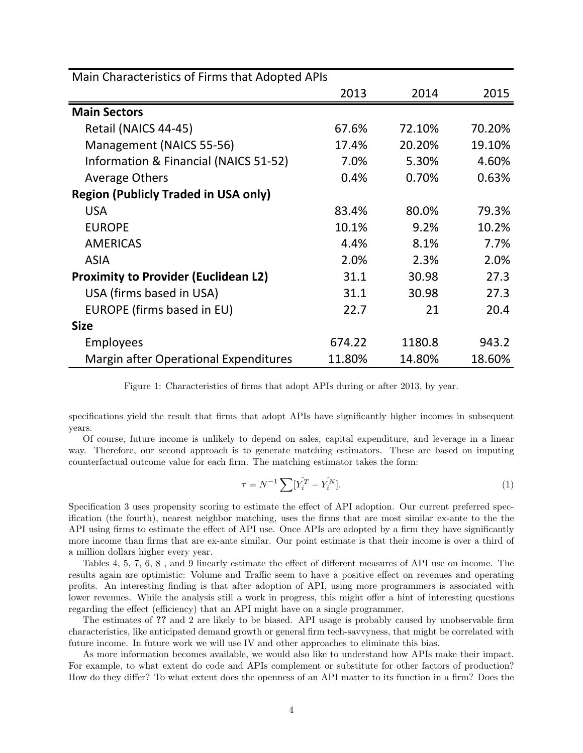| Main Characteristics of Firms that Adopted APIs |        |        |        |  |
|-------------------------------------------------|--------|--------|--------|--|
|                                                 | 2013   | 2014   | 2015   |  |
| <b>Main Sectors</b>                             |        |        |        |  |
| Retail (NAICS 44-45)                            | 67.6%  | 72.10% | 70.20% |  |
| Management (NAICS 55-56)                        | 17.4%  | 20.20% | 19.10% |  |
| Information & Financial (NAICS 51-52)           | 7.0%   | 5.30%  | 4.60%  |  |
| <b>Average Others</b>                           | 0.4%   | 0.70%  | 0.63%  |  |
| <b>Region (Publicly Traded in USA only)</b>     |        |        |        |  |
| <b>USA</b>                                      | 83.4%  | 80.0%  | 79.3%  |  |
| <b>EUROPE</b>                                   | 10.1%  | 9.2%   | 10.2%  |  |
| <b>AMERICAS</b>                                 | 4.4%   | 8.1%   | 7.7%   |  |
| <b>ASIA</b>                                     | 2.0%   | 2.3%   | 2.0%   |  |
| <b>Proximity to Provider (Euclidean L2)</b>     | 31.1   | 30.98  | 27.3   |  |
| USA (firms based in USA)                        | 31.1   | 30.98  | 27.3   |  |
| EUROPE (firms based in EU)                      | 22.7   | 21     | 20.4   |  |
| <b>Size</b>                                     |        |        |        |  |
| <b>Employees</b>                                | 674.22 | 1180.8 | 943.2  |  |
| Margin after Operational Expenditures           | 11.80% | 14.80% | 18.60% |  |

Figure 1: Characteristics of firms that adopt APIs during or after 2013, by year.

specifications yield the result that firms that adopt APIs have significantly higher incomes in subsequent years.

Of course, future income is unlikely to depend on sales, capital expenditure, and leverage in a linear way. Therefore, our second approach is to generate matching estimators. These are based on imputing counterfactual outcome value for each firm. The matching estimator takes the form:

$$
\tau = N^{-1} \sum [\hat{Y}_i^T - \hat{Y}_i^N]. \tag{1}
$$

Specification 3 uses propensity scoring to estimate the effect of API adoption. Our current preferred specification (the fourth), nearest neighbor matching, uses the firms that are most similar ex-ante to the the API using firms to estimate the effect of API use. Once APIs are adopted by a firm they have significantly more income than firms that are ex-ante similar. Our point estimate is that their income is over a third of a million dollars higher every year.

Tables 4, 5, 7, 6, 8 , and 9 linearly estimate the effect of different measures of API use on income. The results again are optimistic: Volume and Traffic seem to have a positive effect on revenues and operating profits. An interesting finding is that after adoption of API, using more programmers is associated with lower revenues. While the analysis still a work in progress, this might offer a hint of interesting questions regarding the effect (efficiency) that an API might have on a single programmer.

The estimates of ?? and 2 are likely to be biased. API usage is probably caused by unobservable firm characteristics, like anticipated demand growth or general firm tech-savvyness, that might be correlated with future income. In future work we will use IV and other approaches to eliminate this bias.

As more information becomes available, we would also like to understand how APIs make their impact. For example, to what extent do code and APIs complement or substitute for other factors of production? How do they differ? To what extent does the openness of an API matter to its function in a firm? Does the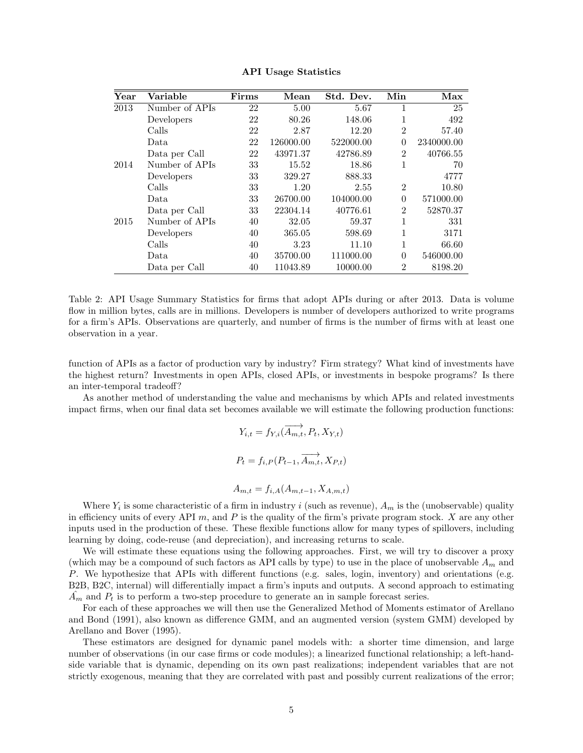| Year | Variable       | Firms | Mean      | Std. Dev. | Min            | Max        |
|------|----------------|-------|-----------|-----------|----------------|------------|
| 2013 | Number of APIs | 22    | 5.00      | 5.67      | 1              | 25         |
|      | Developers     | 22    | 80.26     | 148.06    | 1              | 492        |
|      | Calls          | 22    | 2.87      | 12.20     | $\overline{2}$ | 57.40      |
|      | Data           | 22    | 126000.00 | 522000.00 | $\theta$       | 2340000.00 |
|      | Data per Call  | 22    | 43971.37  | 42786.89  | $\overline{2}$ | 40766.55   |
| 2014 | Number of APIs | 33    | 15.52     | 18.86     | 1              | 70         |
|      | Developers     | 33    | 329.27    | 888.33    |                | 4777       |
|      | Calls          | 33    | 1.20      | 2.55      | $\overline{2}$ | 10.80      |
|      | Data.          | 33    | 26700.00  | 104000.00 | $\theta$       | 571000.00  |
|      | Data per Call  | 33    | 22304.14  | 40776.61  | $\mathfrak{D}$ | 52870.37   |
| 2015 | Number of APIs | 40    | 32.05     | 59.37     | 1              | 331        |
|      | Developers     | 40    | 365.05    | 598.69    | 1              | 3171       |
|      | Calls          | 40    | 3.23      | 11.10     | 1              | 66.60      |
|      | Data           | 40    | 35700.00  | 111000.00 | $\Omega$       | 546000.00  |
|      | Data per Call  | 40    | 11043.89  | 10000.00  | $\mathfrak{D}$ | 8198.20    |

API Usage Statistics

Table 2: API Usage Summary Statistics for firms that adopt APIs during or after 2013. Data is volume flow in million bytes, calls are in millions. Developers is number of developers authorized to write programs for a firm's APIs. Observations are quarterly, and number of firms is the number of firms with at least one observation in a year.

function of APIs as a factor of production vary by industry? Firm strategy? What kind of investments have the highest return? Investments in open APIs, closed APIs, or investments in bespoke programs? Is there an inter-temporal tradeoff?

As another method of understanding the value and mechanisms by which APIs and related investments impact firms, when our final data set becomes available we will estimate the following production functions:

$$
Y_{i,t} = f_{Y,i}(\overrightarrow{A_{m,t}}, P_t, X_{Y,t})
$$
  

$$
P_t = f_{i,P}(P_{t-1}, \overrightarrow{A_{m,t}}, X_{P,t})
$$
  

$$
A_{m,t} = f_{i,A}(A_{m,t-1}, X_{A,m,t})
$$

Where  $Y_i$  is some characteristic of a firm in industry i (such as revenue),  $A_m$  is the (unobservable) quality in efficiency units of every API  $m$ , and  $P$  is the quality of the firm's private program stock.  $X$  are any other inputs used in the production of these. These flexible functions allow for many types of spillovers, including learning by doing, code-reuse (and depreciation), and increasing returns to scale.

We will estimate these equations using the following approaches. First, we will try to discover a proxy (which may be a compound of such factors as API calls by type) to use in the place of unobservable  $A_m$  and P. We hypothesize that APIs with different functions (e.g. sales, login, inventory) and orientations (e.g. B2B, B2C, internal) will differentially impact a firm's inputs and outputs. A second approach to estimating  $A_m$  and  $P_t$  is to perform a two-step procedure to generate an in sample forecast series.

For each of these approaches we will then use the Generalized Method of Moments estimator of Arellano and Bond (1991), also known as difference GMM, and an augmented version (system GMM) developed by Arellano and Bover (1995).

These estimators are designed for dynamic panel models with: a shorter time dimension, and large number of observations (in our case firms or code modules); a linearized functional relationship; a left-handside variable that is dynamic, depending on its own past realizations; independent variables that are not strictly exogenous, meaning that they are correlated with past and possibly current realizations of the error;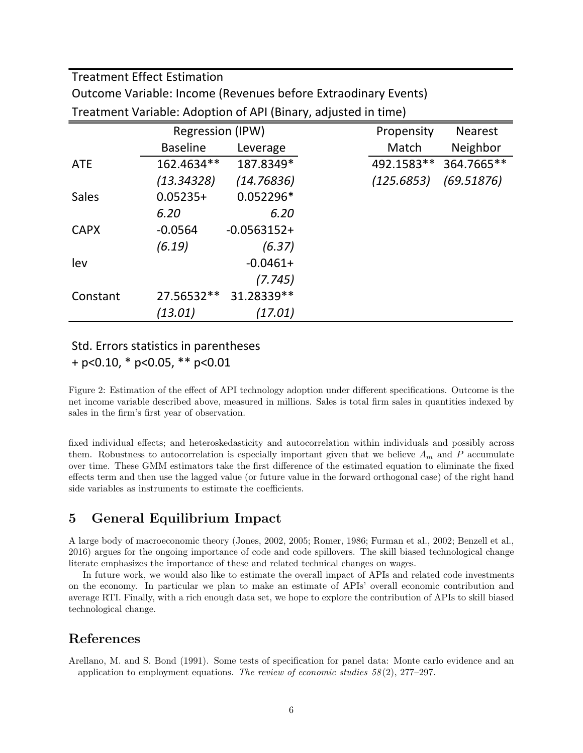Treatment Effect Estimation

Outcome Variable: Income (Revenues before Extraodinary Events)

|              | <b>Regression (IPW)</b> |               | Propensity | <b>Nearest</b> |
|--------------|-------------------------|---------------|------------|----------------|
|              | <b>Baseline</b>         | Leverage      | Match      | Neighbor       |
| <b>ATE</b>   | 162.4634**              | 187.8349*     | 492.1583** | 364.7665**     |
|              | (13.34328)              | (14.76836)    | (125.6853) | (69.51876)     |
| <b>Sales</b> | $0.05235+$              | $0.052296*$   |            |                |
|              | 6.20                    | 6.20          |            |                |
| <b>CAPX</b>  | $-0.0564$               | $-0.0563152+$ |            |                |
|              | (6.19)                  | (6.37)        |            |                |
| lev          |                         | $-0.0461+$    |            |                |
|              |                         | (7.745)       |            |                |
| Constant     | 27.56532**              | 31.28339**    |            |                |
|              | (13.01)                 | (17.01)       |            |                |

Treatment Variable: Adoption of API (Binary, adjusted in time)

### Std. Errors statistics in parentheses  $+$  p<0.10,  $*$  p<0.05,  $**$  p<0.01

Figure 2: Estimation of the effect of API technology adoption under different specifications. Outcome is the net income variable described above, measured in millions. Sales is total firm sales in quantities indexed by sales in the firm's first year of observation.

fixed individual effects; and heteroskedasticity and autocorrelation within individuals and possibly across them. Robustness to autocorrelation is especially important given that we believe  $A_m$  and P accumulate over time. These GMM estimators take the first difference of the estimated equation to eliminate the fixed effects term and then use the lagged value (or future value in the forward orthogonal case) of the right hand side variables as instruments to estimate the coefficients.

# 5 General Equilibrium Impact

A large body of macroeconomic theory (Jones, 2002, 2005; Romer, 1986; Furman et al., 2002; Benzell et al., 2016) argues for the ongoing importance of code and code spillovers. The skill biased technological change literate emphasizes the importance of these and related technical changes on wages.

In future work, we would also like to estimate the overall impact of APIs and related code investments on the economy. In particular we plan to make an estimate of APIs' overall economic contribution and average RTI. Finally, with a rich enough data set, we hope to explore the contribution of APIs to skill biased technological change.

## References

Arellano, M. and S. Bond (1991). Some tests of specification for panel data: Monte carlo evidence and an application to employment equations. The review of economic studies  $58(2)$ ,  $277-297$ .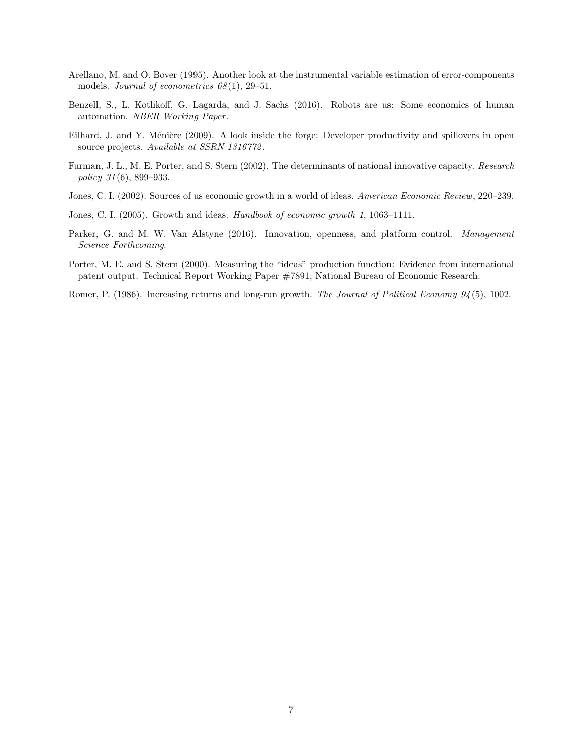- Arellano, M. and O. Bover (1995). Another look at the instrumental variable estimation of error-components models. Journal of econometrics  $68(1)$ , 29-51.
- Benzell, S., L. Kotlikoff, G. Lagarda, and J. Sachs (2016). Robots are us: Some economics of human automation. NBER Working Paper.
- Eilhard, J. and Y. Ménière (2009). A look inside the forge: Developer productivity and spillovers in open source projects. Available at SSRN 1316772.
- Furman, J. L., M. E. Porter, and S. Stern (2002). The determinants of national innovative capacity. Research policy 31 (6), 899–933.
- Jones, C. I. (2002). Sources of us economic growth in a world of ideas. American Economic Review, 220–239.
- Jones, C. I. (2005). Growth and ideas. Handbook of economic growth 1, 1063–1111.
- Parker, G. and M. W. Van Alstyne (2016). Innovation, openness, and platform control. Management Science Forthcoming.
- Porter, M. E. and S. Stern (2000). Measuring the "ideas" production function: Evidence from international patent output. Technical Report Working Paper #7891, National Bureau of Economic Research.
- Romer, P. (1986). Increasing returns and long-run growth. The Journal of Political Economy 94(5), 1002.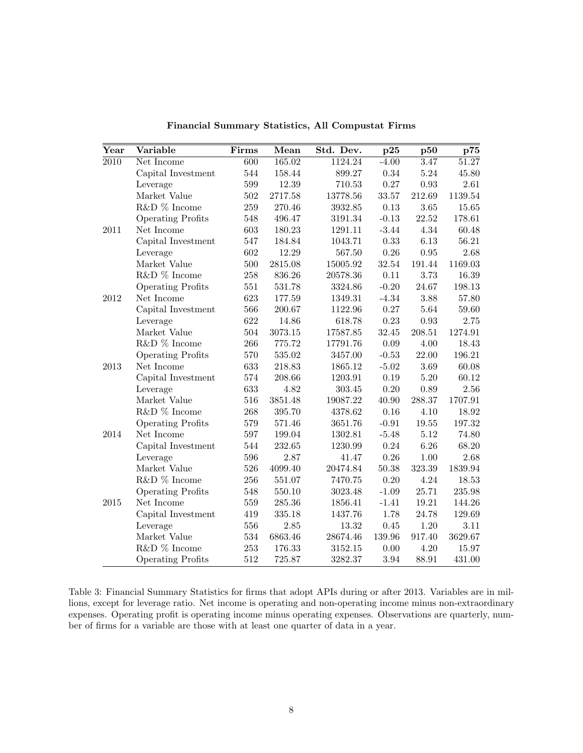| $\overline{\text{Year}}$ | Variable                 | Firms   | Mean    | Std. Dev. | p25       | p50        | p75     |
|--------------------------|--------------------------|---------|---------|-----------|-----------|------------|---------|
| $\overline{2010}$        | Net Income               | 600     | 165.02  | 1124.24   | $-4.00$   | 3.47       | 51.27   |
|                          | Capital Investment       | 544     | 158.44  | 899.27    | $0.34\,$  | 5.24       | 45.80   |
|                          | Leverage                 | 599     | 12.39   | 710.53    | 0.27      | 0.93       | 2.61    |
|                          | Market Value             | 502     | 2717.58 | 13778.56  | 33.57     | 212.69     | 1139.54 |
|                          | R&D % Income             | 259     | 270.46  | 3932.85   | 0.13      | 3.65       | 15.65   |
|                          | <b>Operating Profits</b> | $548\,$ | 496.47  | 3191.34   | $-0.13$   | 22.52      | 178.61  |
| 2011                     | Net Income               | 603     | 180.23  | 1291.11   | $-3.44$   | 4.34       | 60.48   |
|                          | Capital Investment       | 547     | 184.84  | 1043.71   | 0.33      | 6.13       | 56.21   |
|                          | Leverage                 | 602     | 12.29   | 567.50    | $0.26\,$  | 0.95       | 2.68    |
|                          | Market Value             | 500     | 2815.08 | 15005.92  | 32.54     | 191.44     | 1169.03 |
|                          | R&D $\%$ Income          | 258     | 836.26  | 20578.36  | 0.11      | 3.73       | 16.39   |
|                          | <b>Operating Profits</b> | 551     | 531.78  | 3324.86   | $-0.20$   | 24.67      | 198.13  |
| 2012                     | Net Income               | 623     | 177.59  | 1349.31   | $-4.34$   | 3.88       | 57.80   |
|                          | Capital Investment       | 566     | 200.67  | 1122.96   | 0.27      | 5.64       | 59.60   |
|                          | Leverage                 | 622     | 14.86   | 618.78    | $0.23\,$  | $\rm 0.93$ | 2.75    |
|                          | Market Value             | 504     | 3073.15 | 17587.85  | 32.45     | 208.51     | 1274.91 |
|                          | R&D % Income             | 266     | 775.72  | 17791.76  | 0.09      | 4.00       | 18.43   |
|                          | <b>Operating Profits</b> | 570     | 535.02  | 3457.00   | $-0.53$   | 22.00      | 196.21  |
| 2013                     | Net Income               | 633     | 218.83  | 1865.12   | $-5.02$   | 3.69       | 60.08   |
|                          | Capital Investment       | 574     | 208.66  | 1203.91   | 0.19      | 5.20       | 60.12   |
|                          | Leverage                 | 633     | 4.82    | 303.45    | 0.20      | 0.89       | 2.56    |
|                          | Market Value             | 516     | 3851.48 | 19087.22  | 40.90     | 288.37     | 1707.91 |
|                          | R&D % Income             | 268     | 395.70  | 4378.62   | 0.16      | 4.10       | 18.92   |
|                          | <b>Operating Profits</b> | 579     | 571.46  | 3651.76   | $-0.91$   | 19.55      | 197.32  |
| 2014                     | Net Income               | 597     | 199.04  | 1302.81   | $-5.48$   | 5.12       | 74.80   |
|                          | Capital Investment       | 544     | 232.65  | 1230.99   | $0.24\,$  | $6.26\,$   | 68.20   |
|                          | Leverage                 | 596     | 2.87    | 41.47     | 0.26      | $1.00\,$   | 2.68    |
|                          | Market Value             | 526     | 4099.40 | 20474.84  | $50.38\,$ | 323.39     | 1839.94 |
|                          | R&D % Income             | 256     | 551.07  | 7470.75   | $0.20\,$  | 4.24       | 18.53   |
|                          | <b>Operating Profits</b> | 548     | 550.10  | 3023.48   | $-1.09$   | 25.71      | 235.98  |
| $2015\,$                 | Net Income               | 559     | 285.36  | 1856.41   | $-1.41$   | 19.21      | 144.26  |
|                          | Capital Investment       | 419     | 335.18  | 1437.76   | 1.78      | 24.78      | 129.69  |
|                          | Leverage                 | 556     | 2.85    | 13.32     | 0.45      | 1.20       | 3.11    |
|                          | Market Value             | 534     | 6863.46 | 28674.46  | 139.96    | 917.40     | 3629.67 |
|                          | R&D % Income             | 253     | 176.33  | 3152.15   | 0.00      | 4.20       | 15.97   |
|                          | <b>Operating Profits</b> | 512     | 725.87  | 3282.37   | $3.94\,$  | 88.91      | 431.00  |

Financial Summary Statistics, All Compustat Firms

Table 3: Financial Summary Statistics for firms that adopt APIs during or after 2013. Variables are in millions, except for leverage ratio. Net income is operating and non-operating income minus non-extraordinary expenses. Operating profit is operating income minus operating expenses. Observations are quarterly, number of firms for a variable are those with at least one quarter of data in a year.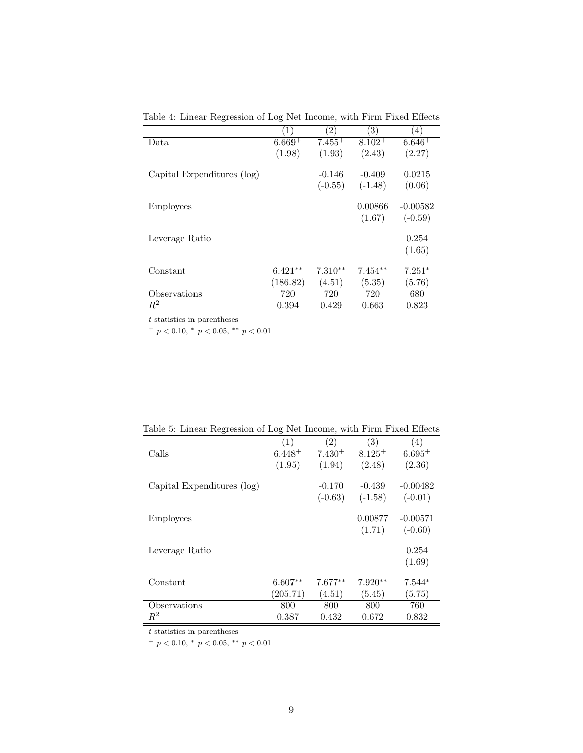| ပ                          | ပ                 |                   |           |                   |
|----------------------------|-------------------|-------------------|-----------|-------------------|
|                            | $\left( 1\right)$ | $\left( 2\right)$ | (3)       | $\left( 4\right)$ |
| Data                       | $6.669+$          | $7.455+$          | $8.102 +$ | $6.646+$          |
|                            | (1.98)            | (1.93)            | (2.43)    | (2.27)            |
| Capital Expenditures (log) |                   | $-0.146$          | $-0.409$  | 0.0215            |
|                            |                   | $(-0.55)$         | $(-1.48)$ | (0.06)            |
| <b>Employees</b>           |                   |                   | 0.00866   | $-0.00582$        |
|                            |                   |                   | (1.67)    | $(-0.59)$         |
| Leverage Ratio             |                   |                   |           | 0.254             |
|                            |                   |                   |           | (1.65)            |
| Constant                   | $6.421**$         | $7.310**$         | $7.454**$ | $7.251*$          |
|                            | (186.82)          | (4.51)            | (5.35)    | (5.76)            |
| Observations               | 720               | 720               | 720       | 680               |
| $R^2$                      | 0.394             | 0.429             | 0.663     | 0.823             |

Table 4: Linear Regression of Log Net Income, with Firm Fixed Effects

 $\boldsymbol{t}$  statistics in parentheses

+  $p < 0.10,$  \*  $p < 0.05,$  \*\*  $p < 0.01$ 

| Table 9. Emical Treglession of Eog Fee Income, while Firm Fixed Enteres |                  |                   |                   |                  |  |  |
|-------------------------------------------------------------------------|------------------|-------------------|-------------------|------------------|--|--|
|                                                                         | $\left(1\right)$ | $\left( 2\right)$ | $\left( 3\right)$ | $\left(4\right)$ |  |  |
| Calls                                                                   | $6.448 +$        | $7.430+$          | $8.125^{+}$       | $6.695+$         |  |  |
|                                                                         | (1.95)           | (1.94)            | (2.48)            | (2.36)           |  |  |
| Capital Expenditures (log)                                              |                  | $-0.170$          | $-0.439$          | $-0.00482$       |  |  |
|                                                                         |                  | $(-0.63)$         | $(-1.58)$         | $(-0.01)$        |  |  |
| <b>Employees</b>                                                        |                  |                   | 0.00877           | $-0.00571$       |  |  |
|                                                                         |                  |                   | (1.71)            | $(-0.60)$        |  |  |
| Leverage Ratio                                                          |                  |                   |                   | 0.254            |  |  |
|                                                                         |                  |                   |                   | (1.69)           |  |  |
| Constant                                                                | $6.607**$        | $7.677**$         | $7.920**$         | $7.544*$         |  |  |
|                                                                         | (205.71)         | (4.51)            | (5.45)            | (5.75)           |  |  |
| Observations                                                            | 800              | 800               | 800               | 760              |  |  |
| $\,R^2$                                                                 | 0.387            | 0.432             | 0.672             | 0.832            |  |  |

Table 5: Linear Regression of Log Net Income, with Firm Fixed Effects

 $\bar{t}$  statistics in parentheses

+  $p < 0.10$ , \*  $p < 0.05$ , \*\*  $p < 0.01$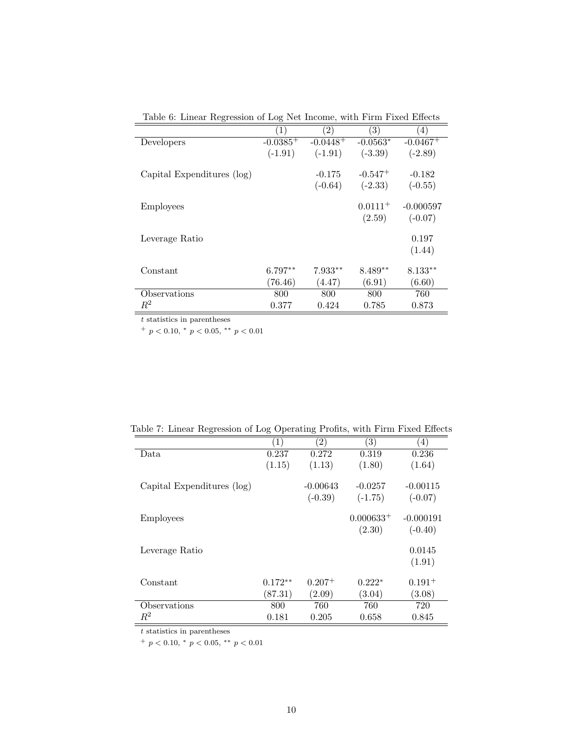| Table 0. Emeal Regression of Eog Net mcome, with Firm Fixed Emects |                  |                   |                   |                   |  |  |  |
|--------------------------------------------------------------------|------------------|-------------------|-------------------|-------------------|--|--|--|
|                                                                    | $\left(1\right)$ | $\left( 2\right)$ | $\left( 3\right)$ | $\left( 4\right)$ |  |  |  |
| Developers                                                         | $-0.0385+$       | $-0.0448+$        | $-0.0563*$        | $-0.0467+$        |  |  |  |
|                                                                    | $(-1.91)$        | $(-1.91)$         | $(-3.39)$         | $(-2.89)$         |  |  |  |
| Capital Expenditures (log)                                         |                  | $-0.175$          | $-0.547+$         | $-0.182$          |  |  |  |
|                                                                    |                  | $(-0.64)$         | $(-2.33)$         | $(-0.55)$         |  |  |  |
| <b>Employees</b>                                                   |                  |                   | $0.0111^{+}$      | $-0.000597$       |  |  |  |
|                                                                    |                  |                   | (2.59)            | $(-0.07)$         |  |  |  |
| Leverage Ratio                                                     |                  |                   |                   | 0.197             |  |  |  |
|                                                                    |                  |                   |                   | (1.44)            |  |  |  |
| Constant                                                           | $6.797**$        | $7.933**$         | $8.489**$         | $8.133**$         |  |  |  |
|                                                                    | (76.46)          | (4.47)            | (6.91)            | (6.60)            |  |  |  |
| Observations                                                       | 800              | 800               | 800               | 760               |  |  |  |
| $\,R^2$                                                            | 0.377            | 0.424             | 0.785             | 0.873             |  |  |  |

Table 6: Linear Regression of Log Net Income, with Firm Fixed Effects

 $\boldsymbol{t}$  statistics in parentheses

+  $p$  < 0.10, \*  $p$  < 0.05, \*\*  $p$  < 0.01

| $\circ$<br>っ               |                  |                   |             |                  |  |  |
|----------------------------|------------------|-------------------|-------------|------------------|--|--|
|                            | $\left(1\right)$ | $\left( 2\right)$ | (3)         | $\left(4\right)$ |  |  |
| Data                       | 0.237            | 0.272             | 0.319       | 0.236            |  |  |
|                            | (1.15)           | (1.13)            | (1.80)      | (1.64)           |  |  |
| Capital Expenditures (log) |                  | $-0.00643$        | $-0.0257$   | $-0.00115$       |  |  |
|                            |                  | $(-0.39)$         | $(-1.75)$   | $(-0.07)$        |  |  |
| <b>Employees</b>           |                  |                   | $0.000633+$ | $-0.000191$      |  |  |
|                            |                  |                   | (2.30)      | $(-0.40)$        |  |  |
| Leverage Ratio             |                  |                   |             | 0.0145           |  |  |
|                            |                  |                   |             | (1.91)           |  |  |
| Constant                   | $0.172**$        | $0.207^{+}$       | $0.222*$    | $0.191^{+}$      |  |  |
|                            | (87.31)          | (2.09)            | (3.04)      | (3.08)           |  |  |
| Observations               | 800              | 760               | 760         | 720              |  |  |
| $R^2$                      | 0.181            | 0.205             | 0.658       | 0.845            |  |  |

Table 7: Linear Regression of Log Operating Profits, with Firm Fixed Effects

 $t$  statistics in parentheses  $\overline{\phantom{a}}$ 

 $^{+}$   $p$   $<$  0.10,  $^{\ast}$   $p$   $<$  0.05,  $^{\ast\ast}$   $p$   $<$  0.01